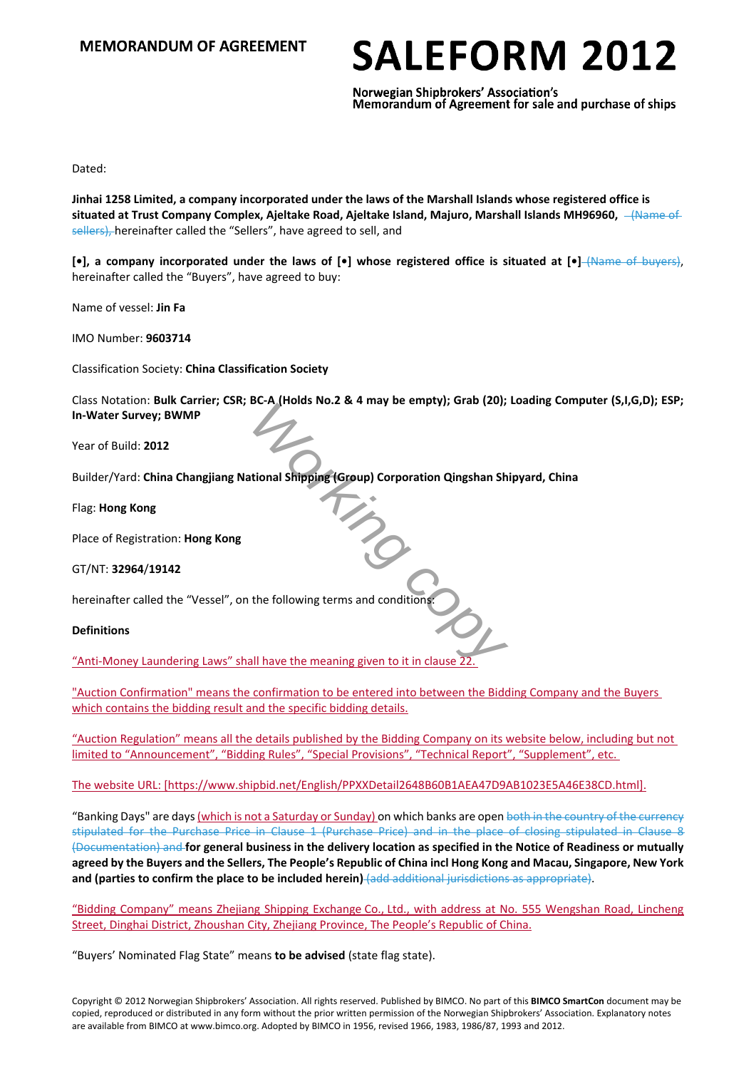# **SALEFORM 2012**

Norwegian Shipbrokers' Association's Memorandum of Agreement for sale and purchase of ships

Dated:

**Jinhai 1258 Limited, a company incorporated under the laws of the Marshall Islands whose registered office is situated at Trust Company Complex, Ajeltake Road, Ajeltake Island, Majuro, Marshall Islands MH96960,** (Name of sellers), hereinafter called the "Sellers", have agreed to sell, and

**[•], a company incorporated under the laws of [•] whose registered office is situated at [•]** (Name of buyers), hereinafter called the "Buyers", have agreed to buy:

Name of vessel: **Jin Fa**

IMO Number: **9603714**

Classification Society: **China Classification Society**

**Example 18 Shipping (Group) Corporation Qingshan Shipping (Group) Corporation Qingshan Shipping (Group)**<br>the following terms and conditions. Class Notation: **Bulk Carrier; CSR; BC-A (Holds No.2 & 4 may be empty); Grab (20); Loading Computer (S,I,G,D); ESP; In-Water Survey; BWMP**

Year of Build: **2012**

Builder/Yard: **China Changjiang National Shipping (Group) Corporation Qingshan Shipyard, China** 

Flag: **Hong Kong**

Place of Registration: **Hong Kong**

GT/NT: **32964**/**19142**

hereinafter called the "Vessel", on the following terms and conditions:

#### **Definitions**

"Anti-Money Laundering Laws" shall have the meaning given to it in clause

"Auction Confirmation" means the confirmation to be entered into between the Bidding Company and the Buyers which contains the bidding result and the specific bidding details.

"Auction Regulation" means all the details published by the Bidding Company on its website below, including but not limited to "Announcement", "Bidding Rules", "Special Provisions", "Technical Report", "Supplement", etc.

The website URL: [https://www.shipbid.net/English/PPXXDetail2648B60B1AEA47D9AB1023E5A46E38CD.html].

"Banking Days" are days (which is not a Saturday or Sunday) on which banks are open both in the country of the currency stipulated for the Purchase Price in Clause 1 (Purchase Price) and in the place of closing stipulated in Clause 8 (Documentation) and **for general business in the delivery location as specified in the Notice of Readiness or mutually agreed by the Buyers and the Sellers, The People's Republic of China incl Hong Kong and Macau, Singapore, New York and (parties to confirm the place to be included herein)** (add additional jurisdictions as appropriate).

"Bidding Company" means Zhejiang Shipping Exchange Co., Ltd., with address at No. 555 Wengshan Road, Lincheng Street, Dinghai District, Zhoushan City, Zhejiang Province, The People's Republic of China.

"Buyers' Nominated Flag State" means **to be advised** (state flag state).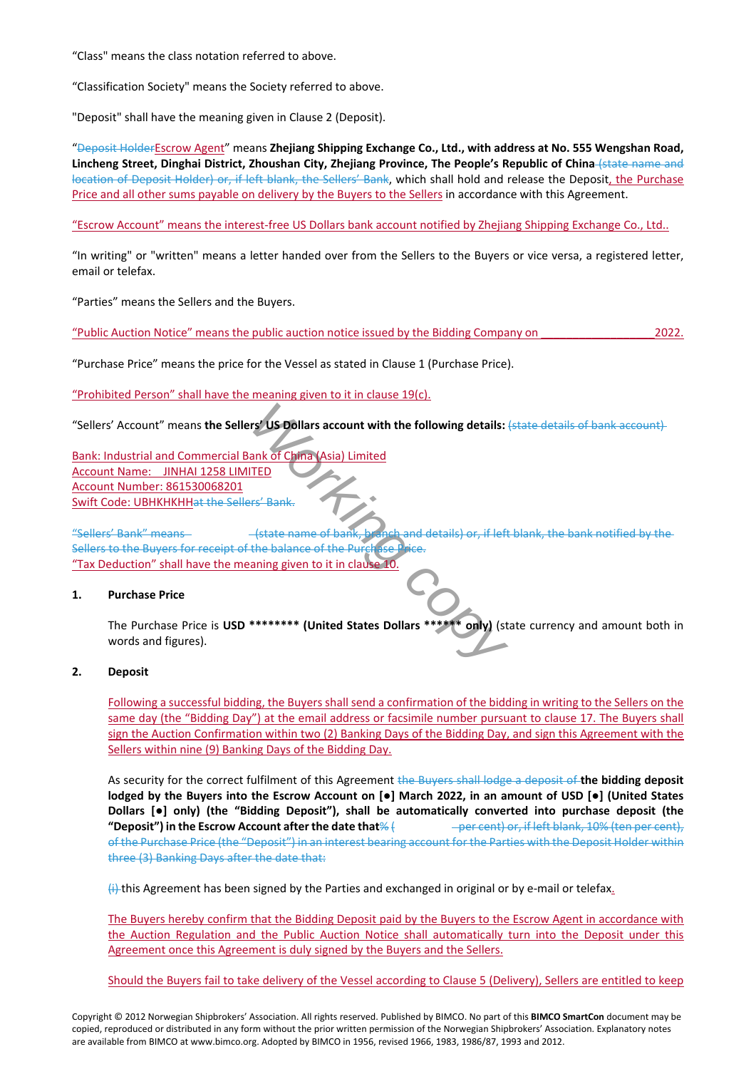"Class" means the class notation referred to above.

"Classification Society" means the Society referred to above.

"Deposit" shall have the meaning given in Clause 2 (Deposit).

"Deposit HolderEscrow Agent" means **Zhejiang Shipping Exchange Co., Ltd., with address at No. 555 Wengshan Road, Lincheng Street, Dinghai District, Zhoushan City, Zhejiang Province, The People's Republic of China** (state name and location of Deposit Holder) or, if left blank, the Sellers' Bank, which shall hold and release the Deposit, the Purchase Price and all other sums payable on delivery by the Buyers to the Sellers in accordance with this Agreement.

"Escrow Account" means the interest-free US Dollars bank account notified by Zhejiang Shipping Exchange Co., Ltd..

"In writing" or "written" means a letter handed over from the Sellers to the Buyers or vice versa, a registered letter, email or telefax.

"Parties" means the Sellers and the Buyers.

"Public Auction Notice" means the public auction notice issued by the Bidding Company on \_\_\_\_\_\_\_\_\_\_\_\_\_\_\_\_\_\_2022.

"Purchase Price" means the price for the Vessel as stated in Clause 1 (Purchase Price).

"Prohibited Person" shall have the meaning given to it in clause 19(c).

"Sellers' Account" means **the Sellers' US Dollars account with the following details:** (state details of bank account)

Bank: Industrial and Commercial Bank of China (Asia) Limited Account Name: JINHAI 1258 LIMITED Account Number: 861530068201 Swift Code: UBHKHKHHat the Sellers' Bank.

**ED**<br> **ED**<br> **ED**<br> **ED**<br> **ED**<br> **ED**<br> **ED**<br> **ED**<br> **ED**<br> **ED**<br> **ED**<br> **ED**<br> **ED**<br> **ED**<br> **ED**<br> **ED**<br> **ED**<br> **ED**<br> **ED**<br> **ED**<br> **ED**<br> **ED**<br> **ED**<br> **ED**<br> **ED**<br> **ED**<br> **ED**<br> **ED**<br> **ED**<br> **ED**<br> **ED**<br> **ED**<br> **ED**<br> **ED**<br> **ED**<br> **ED**<br> **ED**<br> "Sellers' Bank" means - The State name of bank, branch and details) or, if left blank, the bank notified by the Sellers to the Buyers for receipt of the balance of the Purchase Price. "Tax Deduction" shall have the meaning given to it in clause 10.

## **1. Purchase Price**

The Purchase Price is **USD \*\*\*\*\*\*\*\* (United States Dollars \*\*\*\*\*\* only)** (state currency and amount both in words and figures).

## **2. Deposit**

Following a successful bidding, the Buyers shall send a confirmation of the bidding in writing to the Sellers on the same day (the "Bidding Day") at the email address or facsimile number pursuant to clause 17. The Buyers shall sign the Auction Confirmation within two (2) Banking Days of the Bidding Day, and sign this Agreement with the Sellers within nine (9) Banking Days of the Bidding Day.

As security for the correct fulfilment of this Agreement the Buyers shall lodge a deposit of **the bidding deposit lodged by the Buyers into the Escrow Account on [●] March 2022, in an amount of USD [●] (United States Dollars [●] only) (the "Bidding Deposit"), shall be automatically converted into purchase deposit (the "Deposit") in the Escrow Account after the date that% (***percent) or, if left blank, 10% (ten per cent),* of the Purchase Price (the "Deposit") in an interest bearing account for the Parties with the Deposit Holder within three (3) Banking Days after the date that:

 $(H)$  this Agreement has been signed by the Parties and exchanged in original or by e-mail or telefax.

The Buyers hereby confirm that the Bidding Deposit paid by the Buyers to the Escrow Agent in accordance with the Auction Regulation and the Public Auction Notice shall automatically turn into the Deposit under this Agreement once this Agreement is duly signed by the Buyers and the Sellers.

Should the Buyers fail to take delivery of the Vessel according to Clause 5 (Delivery), Sellers are entitled to keep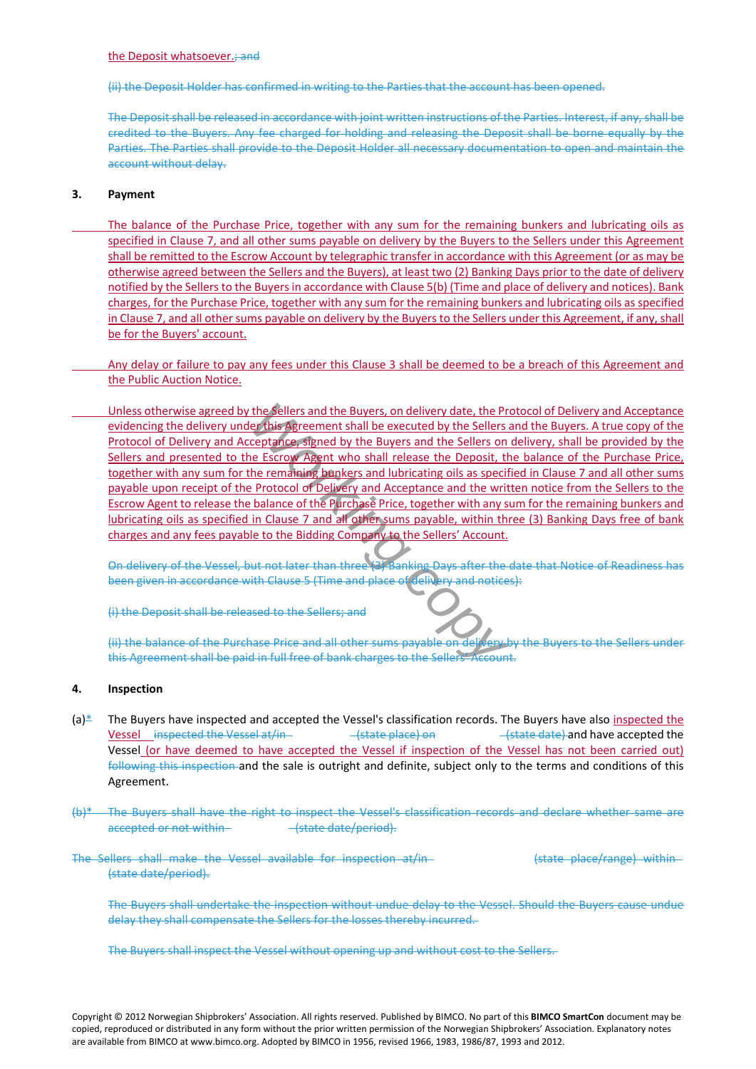#### the Deposit whatsoever.; and

(ii) the Deposit Holder has confirmed in writing to the Parties that the account has been opened.

The Deposit shall be released in accordance with joint written instructions of the Parties. Interest, if any, shall be credited to the Buyers. Any fee charged for holding and releasing the Deposit shall be borne equally by the Parties. The Parties shall provide to the Deposit Holder all necessary documentation to open and maintain the account without delay.

#### **3. Payment**

The balance of the Purchase Price, together with any sum for the remaining bunkers and lubricating oils as specified in Clause 7, and all other sums payable on delivery by the Buyers to the Sellers under this Agreement shall be remitted to the Escrow Account by telegraphic transfer in accordance with this Agreement (or as may be otherwise agreed between the Sellers and the Buyers), at least two (2) Banking Days prior to the date of delivery notified by the Sellers to the Buyers in accordance with Clause 5(b) (Time and place of delivery and notices). Bank charges, for the Purchase Price, together with any sum for the remaining bunkers and lubricating oils as specified in Clause 7, and all other sums payable on delivery by the Buyers to the Sellers under this Agreement, if any, shall be for the Buyers' account.

Any delay or failure to pay any fees under this Clause 3 shall be deemed to be a breach of this Agreement and the Public Auction Notice.

**Example 12 Follows and the Buyers, on delivery date, the Prefilion Exercise Profilion Exercise Proposition**<br> **Example 12 Follows and the Sellers on e Escrow Agent who shall release the Deposit, the remaining bunkers and l** Unless otherwise agreed by the Sellers and the Buyers, on delivery date, the Protocol of Delivery and Acceptance evidencing the delivery under this Agreement shall be executed by the Sellers and the Buyers. A true copy of the Protocol of Delivery and Acceptance, signed by the Buyers and the Sellers on delivery, shall be provided by the Sellers and presented to the Escrow Agent who shall release the Deposit, the balance of the Purchase Price, together with any sum for the remaining bunkers and lubricating oils as specified in Clause 7 and all other sums payable upon receipt of the Protocol of Delivery and Acceptance and the written notice from the Sellers to the Escrow Agent to release the balance of the Purchase Price, together with any sum for the remaining bunkers and lubricating oils as specified in Clause 7 and all other sums payable, within three (3) Banking Days free of bank charges and any fees payable to the Bidding Company to the Sellers' Account.

On delivery of the Vessel, but not later than three (3) Banking Days after the date that Notice of Readiness has been given in accordance with Clause 5 (Time and place of delivery and notices):

(i) the Deposit shall be released to the Sellers; and

(ii) the balance of the Purchase Price and all other sums payable on delivery by the Buyers to the Sellers under this Agreement shall be paid in full free of bank charges to the Sellers' Account.

#### **4. Inspection**

- (a) $*$  The Buyers have inspected and accepted the Vessel's classification records. The Buyers have also inspected the Vessel inspected the Vessel at/in (state place) on(state date) and have accepted the Vessel (or have deemed to have accepted the Vessel if inspection of the Vessel has not been carried out) following this inspection and the sale is outright and definite, subject only to the terms and conditions of this Agreement.
- $(b)*$  The Buyers shall have the right to inspect the Vessel's classification records and declare whether same are accepted or not within accepted).
- The Sellers shall make the Vessel available for inspection at/in and the state place/range) within (state date/period).

The Buyers shall undertake the inspection without undue delay to the Vessel. Should the Buyers cause undue delay they shall compensate the Sellers for the losses thereby incurred.

The Buyers shall inspect the Vessel without opening up and without cost to the Sellers.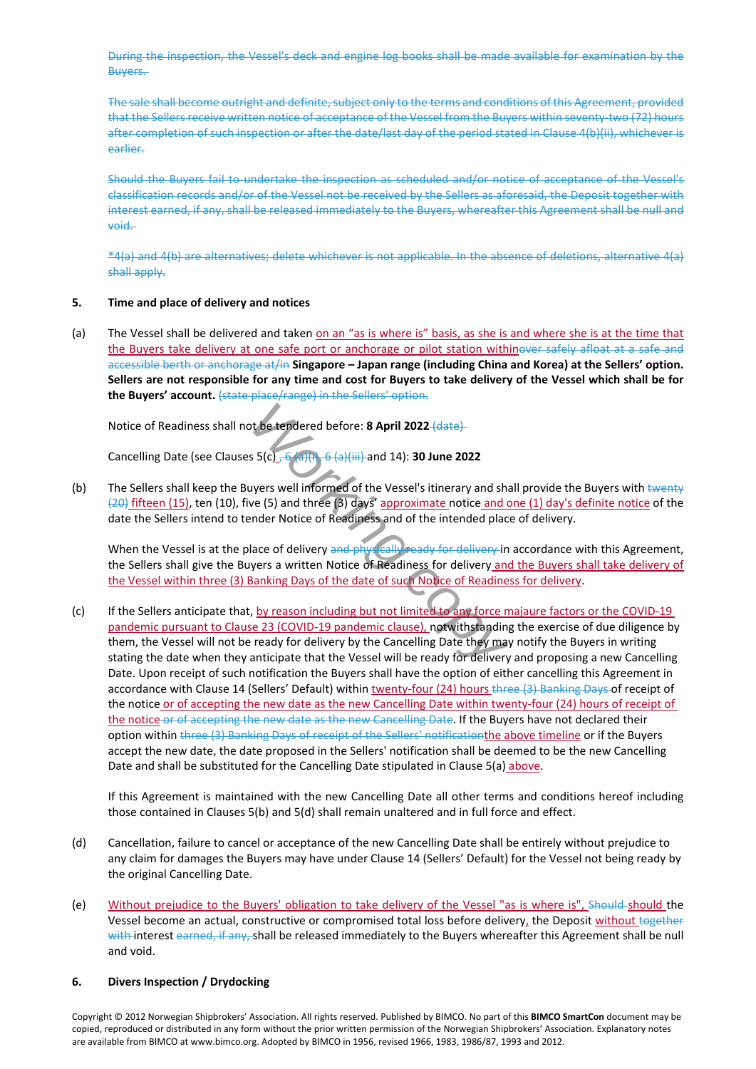During the inspection, the Vessel's deck and engine log books shall be made available for examination by the Buyers.

The sale shall become outright and definite, subject only to the terms and conditions of this Agreement, provided that the Sellers receive written notice of acceptance of the Vessel from the Buyers within seventy-two (72) hours after completion of such inspection or after the date/last day of the period stated in Clause 4(b)(ii), whichever is earlier.

Should the Buyers fail to undertake the inspection as scheduled and/or notice of acceptance of the Vessel's classification records and/or of the Vessel not be received by the Sellers as aforesaid, the Deposit together with interest earned, if any, shall be released immediately to the Buyers, whereafter this Agreement shall be null and void.

\*4(a) and 4(b) are alternatives; delete whichever is not applicable. In the absence of deletions, alternative 4(a) shall apply.

#### **5. Time and place of delivery and notices**

(a) The Vessel shall be delivered and taken on an "as is where is" basis, as she is and where she is at the time that the Buyers take delivery at one safe port or anchorage or pilot station withinover safely afloat at a safe and accessible berth or anchorage at/in **Singapore – Japan range (including China and Korea) at the Sellers' option. Sellers are not responsible for any time and cost for Buyers to take delivery of the Vessel which shall be for the Buyers' account.** (state place/range) in the Sellers' option.

Notice of Readiness shall not be tendered before: **8 April 2022** (date)

Cancelling Date (see Clauses 5(c) , 6 (a)(i), 6 (a)(iii) and 14): **30 June 2022**

(b) The Sellers shall keep the Buyers well informed of the Vessel's itinerary and shall provide the Buyers with twenty (20) fifteen (15), ten (10), five (5) and three (3) days' approximate notice and one (1) day's definite notice of the date the Sellers intend to tender Notice of Readiness and of the intended place of delivery.

When the Vessel is at the place of delivery and physically ready for delivery in accordance with this Agreement, the Sellers shall give the Buyers a written Notice of Readiness for delivery and the Buyers shall take delivery of the Vessel within three (3) Banking Days of the date of such Notice of Readiness for delivery.

**Example 12022** (date)<br> **Example 12022** (date)<br> **Example 12022**<br> **Were set that the Vessel's itinerary and shape (5) and three (3) days' approximate notice and c<br>
Mer (5) and three (3) days' approximate notice and c<br>
ander** (c) If the Sellers anticipate that, by reason including but not limited to any force majaure factors or the COVID-19 pandemic pursuant to Clause 23 (COVID-19 pandemic clause), notwithstanding the exercise of due diligence by them, the Vessel will not be ready for delivery by the Cancelling Date they may notify the Buyers in writing stating the date when they anticipate that the Vessel will be ready for delivery and proposing a new Cancelling Date. Upon receipt of such notification the Buyers shall have the option of either cancelling this Agreement in accordance with Clause 14 (Sellers' Default) within twenty-four (24) hours three (3) Banking Days of receipt of the notice or of accepting the new date as the new Cancelling Date within twenty-four (24) hours of receipt of the notice or of accepting the new date as the new Cancelling Date. If the Buyers have not declared their option within three (3) Banking Days of receipt of the Sellers' notificationthe above timeline or if the Buyers accept the new date, the date proposed in the Sellers' notification shall be deemed to be the new Cancelling Date and shall be substituted for the Cancelling Date stipulated in Clause 5(a) above.

If this Agreement is maintained with the new Cancelling Date all other terms and conditions hereof including those contained in Clauses 5(b) and 5(d) shall remain unaltered and in full force and effect.

- (d) Cancellation, failure to cancel or acceptance of the new Cancelling Date shall be entirely without prejudice to any claim for damages the Buyers may have under Clause 14 (Sellers' Default) for the Vessel not being ready by the original Cancelling Date.
- (e) Without prejudice to the Buyers' obligation to take delivery of the Vessel "as is where is", Should should the Vessel become an actual, constructive or compromised total loss before delivery, the Deposit without together with interest earned, if any, shall be released immediately to the Buyers whereafter this Agreement shall be null and void.

#### **6. Divers Inspection / Drydocking**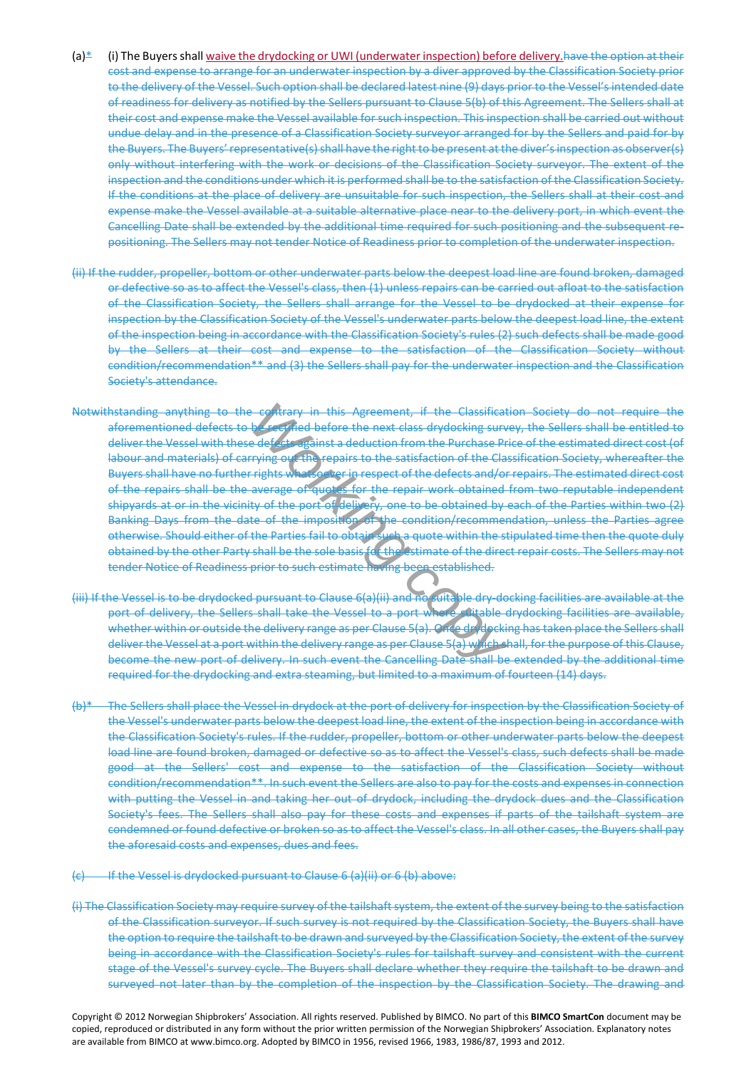- (a) $*$  (i) The Buyers shall waive the drydocking or UWI (underwater inspection) before delivery. have the option at their cost and expense to arrange for an underwater inspection by a diver approved by the Classification Society prior to the delivery of the Vessel. Such option shall be declared latest nine (9) days prior to the Vessel's intended date of readiness for delivery as notified by the Sellers pursuant to Clause 5(b) of this Agreement. The Sellers shall at their cost and expense make the Vessel available for such inspection. This inspection shall be carried out without undue delay and in the presence of a Classification Society surveyor arranged for by the Sellers and paid for by the Buyers. The Buyers' representative(s) shall have the right to be present at the diver's inspection as observer(s) only without interfering with the work or decisions of the Classification Society surveyor. The extent of the inspection and the conditions under which it is performed shall be to the satisfaction of the Classification Society. If the conditions at the place of delivery are unsuitable for such inspection, the Sellers shall at their cost and expense make the Vessel available at a suitable alternative place near to the delivery port, in which event the Cancelling Date shall be extended by the additional time required for such positioning and the subsequent repositioning. The Sellers may not tender Notice of Readiness prior to completion of the underwater inspection.
- (ii) If the rudder, propeller, bottom or other underwater parts below the deepest load line are found broken, damaged or defective so as to affect the Vessel's class, then (1) unless repairs can be carried out afloat to the satisfaction of the Classification Society, the Sellers shall arrange for the Vessel to be drydocked at their expense for inspection by the Classification Society of the Vessel's underwater parts below the deepest load line, the extent of the inspection being in accordance with the Classification Society's rules (2) such defects shall be made good by the Sellers at their cost and expense to the satisfaction of the Classification Society without condition/recommendation\*\* and (3) the Sellers shall pay for the underwater inspection and the Classification Society's attendance.
- **Example 19 Fourier and the Classificat**<br> **Example 19 Fourier defects against a deduction from the Purchase Priving our direct peairs to the satisfaction of the Classifier<br>
rights what sever in respect of the defects and/o** Notwithstanding anything to the contrary in this Agreement, if the Classification Society do not require the aforementioned defects to be rectified before the next class drydocking survey, the Sellers shall be entitled to deliver the Vessel with these defects against a deduction from the Purchase Price of the estimated direct cost (of labour and materials) of carrying out the repairs to the satisfaction of the Classification Society, whereafter the Buyers shall have no further rights whatsoever in respect of the defects and/or repairs. The estimated direct cost of the repairs shall be the average of quotes for the repair work obtained from two reputable independent shipyards at or in the vicinity of the port of delivery, one to be obtained by each of the Parties within two (2) Banking Days from the date of the imposition of the condition/recommendation, unless the Parties agree otherwise. Should either of the Parties fail to obtain such a quote within the stipulated time then the quote duly obtained by the other Party shall be the sole basis for the estimate of the direct repair costs. The Sellers may not tender Notice of Readiness prior to such estimate having been established.
- (iii) If the Vessel is to be drydocked pursuant to Clause 6(a)(ii) and no suitable dry-docking facilities are available at the port of delivery, the Sellers shall take the Vessel to a port where suitable drydocking facilities are available, whether within or outside the delivery range as per Clause 5(a). Once dry docking has taken place the Sellers shall deliver the Vessel at a port within the delivery range as per Clause 5(a) which shall, for the purpose of this Clause, become the new port of delivery. In such event the Cancelling Date shall be extended by the additional time required for the drydocking and extra steaming, but limited to a maximum of fourteen (14) days.
- (b)\* The Sellers shall place the Vessel in drydock at the port of delivery for inspection by the Classification Society of the Vessel's underwater parts below the deepest load line, the extent of the inspection being in accordance with the Classification Society's rules. If the rudder, propeller, bottom or other underwater parts below the deepest load line are found broken, damaged or defective so as to affect the Vessel's class, such defects shall be made good at the Sellers' cost and expense to the satisfaction of the Classification Society without condition/recommendation\*\*. In such event the Sellers are also to pay for the costs and expenses in connection with putting the Vessel in and taking her out of drydock, including the drydock dues and the Classification Society's fees. The Sellers shall also pay for these costs and expenses if parts of the tailshaft system are condemned or found defective or broken so as to affect the Vessel's class. In all other cases, the Buyers shall pay the aforesaid costs and expenses, dues and fees.
- (c) If the Vessel is drydocked pursuant to Clause 6 (a)(ii) or 6 (b) above:
- (i) The Classification Society may require survey of the tailshaft system, the extent of the survey being to the satisfaction of the Classification surveyor. If such survey is not required by the Classification Society, the Buyers shall have the option to require the tailshaft to be drawn and surveyed by the Classification Society, the extent of the survey being in accordance with the Classification Society's rules for tailshaft survey and consistent with the current stage of the Vessel's survey cycle. The Buyers shall declare whether they require the tailshaft to be drawn and surveyed not later than by the completion of the inspection by the Classification Society. The drawing and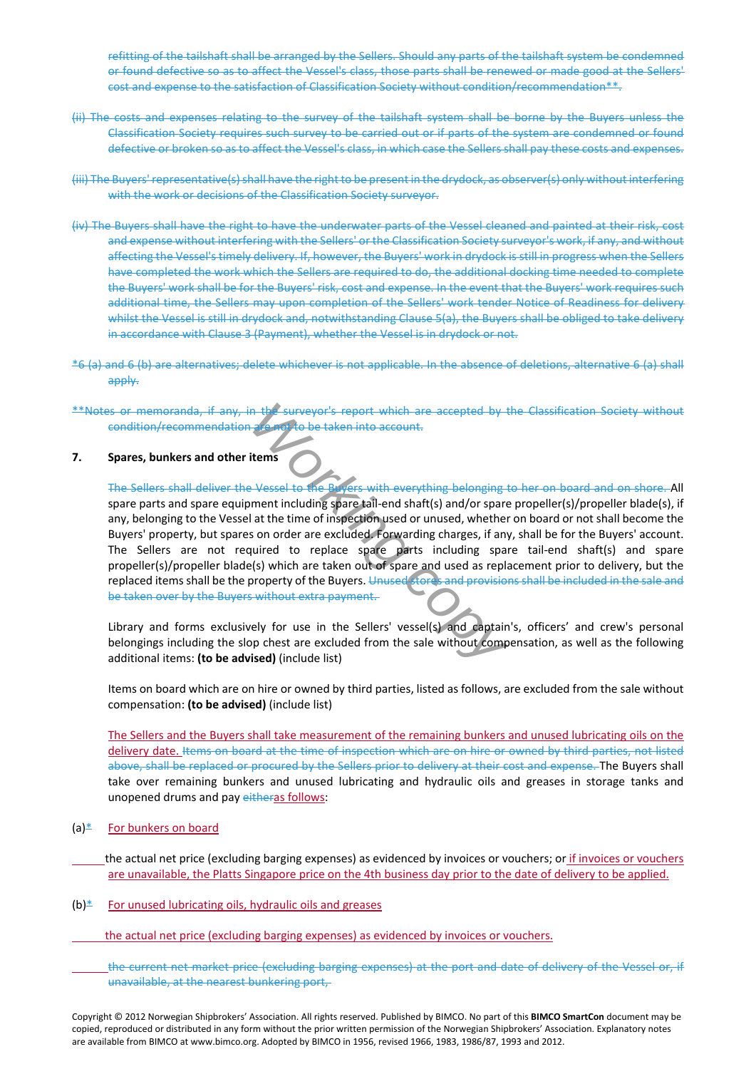refitting of the tailshaft shall be arranged by the Sellers. Should any parts of the tailshaft system be condemned or found defective so as to affect the Vessel's class, those parts shall be renewed or made good at the Sellers' cost and expense to the satisfaction of Classification Society without condition/recommendation\*\*.

- (ii) The costs and expenses relating to the survey of the tailshaft system shall be borne by the Buyers unless the Classification Society requires such survey to be carried out or if parts of the system are condemned or found defective or broken so as to affect the Vessel's class, in which case the Sellers shall pay these costs and expenses.
- (iii) The Buyers' representative(s) shall have the right to be present in the drydock, as observer(s) only without interfering with the work or decisions of the Classification Society surveyor.
- (iv) The Buyers shall have the right to have the underwater parts of the Vessel cleaned and painted at their risk, cost and expense without interfering with the Sellers' or the Classification Society surveyor's work, if any, and without affecting the Vessel's timely delivery. If, however, the Buyers' work in drydock is still in progress when the Sellers have completed the work which the Sellers are required to do, the additional docking time needed to complete the Buyers' work shall be for the Buyers' risk, cost and expense. In the event that the Buyers' work requires such additional time, the Sellers may upon completion of the Sellers' work tender Notice of Readiness for delivery whilst the Vessel is still in drydock and, notwithstanding Clause 5(a), the Buyers shall be obliged to take delivery in accordance with Clause 3 (Payment), whether the Vessel is in drydock or not.
- \*6 (a) and 6 (b) are alternatives; delete whichever is not applicable. In the absence of deletions, alternative 6 (a) shall apply.
- \*\*Notes or memoranda, if any, in the surveyor's report which are accepted by the Classification Society without condition/recommendation are not to be taken into account.

# **7. Spares, bunkers and other items**

**Example 20** be taken into account.<br> **Example 30** be taken into account.<br> **Example 30** be taken into account.<br> **Example 20** be taken into account.<br> **Example 30** account.<br> **Example 30** with everything belonging the the time The Sellers shall deliver the Vessel to the Buyers with everything belonging to her on board and on shore. All spare parts and spare equipment including spare tail-end shaft(s) and/or spare propeller(s)/propeller blade(s), if any, belonging to the Vessel at the time of inspection used or unused, whether on board or not shall become the Buyers' property, but spares on order are excluded. Forwarding charges, if any, shall be for the Buyers' account. The Sellers are not required to replace spare parts including spare tail-end shaft(s) and spare propeller(s)/propeller blade(s) which are taken out of spare and used as replacement prior to delivery, but the replaced items shall be the property of the Buyers. Unused store and provisions shall be included in the sale and be taken over by the Buyers without extra payment.

Library and forms exclusively for use in the Sellers' vessel(s) and captain's, officers' and crew's personal belongings including the slop chest are excluded from the sale without compensation, as well as the following additional items: **(to be advised)** (include list)

Items on board which are on hire or owned by third parties, listed as follows, are excluded from the sale without compensation: **(to be advised)** (include list)

The Sellers and the Buyers shall take measurement of the remaining bunkers and unused lubricating oils on the delivery date. Items on board at the time of inspection which are on hire or owned by third parties, not listed above, shall be replaced or procured by the Sellers prior to delivery at their cost and expense. The Buyers shall take over remaining bunkers and unused lubricating and hydraulic oils and greases in storage tanks and unopened drums and pay eitheras follows:

 $(a)^*$  For bunkers on board

 the actual net price (excluding barging expenses) as evidenced by invoices or vouchers; or if invoices or vouchers are unavailable, the Platts Singapore price on the 4th business day prior to the date of delivery to be applied.

 $(b)^*$  For unused lubricating oils, hydraulic oils and greases

the actual net price (excluding barging expenses) as evidenced by invoices or vouchers.

the current net market price (excluding barging expenses) at the port and date of delivery of the Vessel or, if unavailable, at the nearest bunkering port,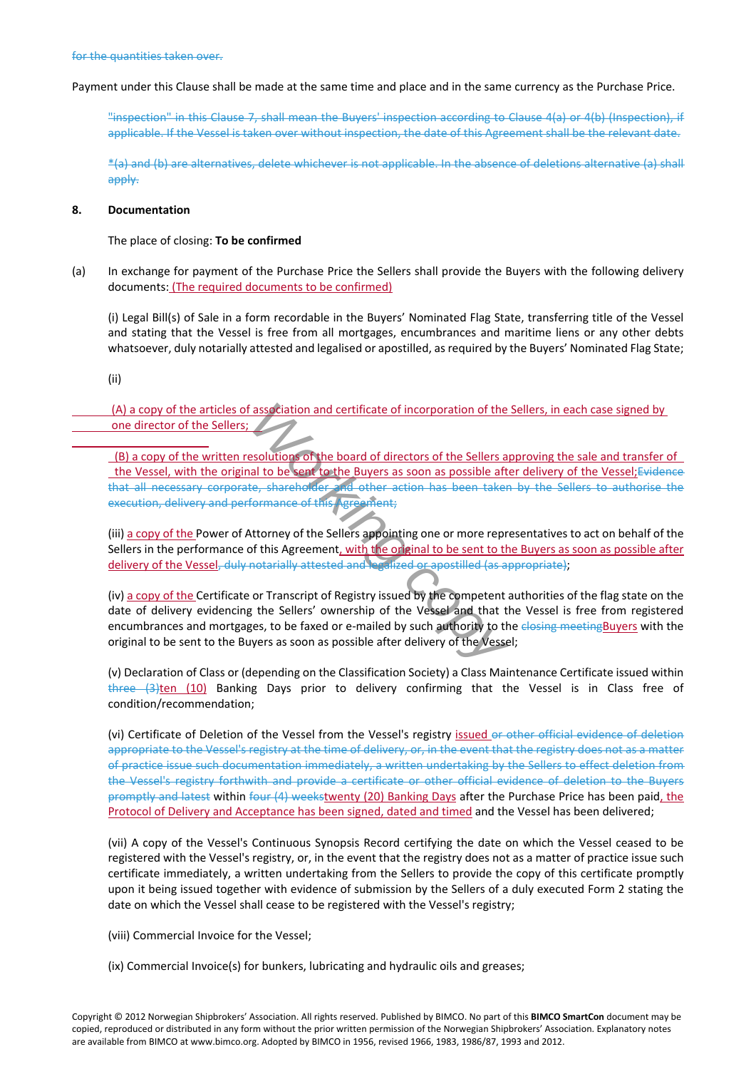Payment under this Clause shall be made at the same time and place and in the same currency as the Purchase Price.

"inspection" in this Clause 7, shall mean the Buyers' inspection according to Clause 4(a) or 4(b) (Inspection), if applicable. If the Vessel is taken over without inspection, the date of this Agreement shall be the relevant date.

\*(a) and (b) are alternatives, delete whichever is not applicable. In the absence of deletions alternative (a) shall apply.

#### **8. Documentation**

The place of closing: **To be confirmed** 

(a) In exchange for payment of the Purchase Price the Sellers shall provide the Buyers with the following delivery documents: (The required documents to be confirmed)

(i) Legal Bill(s) of Sale in a form recordable in the Buyers' Nominated Flag State, transferring title of the Vessel and stating that the Vessel is free from all mortgages, encumbrances and maritime liens or any other debts whatsoever, duly notarially attested and legalised or apostilled, as required by the Buyers' Nominated Flag State;

(ii)

L

 (A) a copy of the articles of association and certificate of incorporation of the Sellers, in each case signed by one director of the Sellers;

association and certificate of incorporation of the<br>
solutions of the board of directors of the Sellers a<br>
al to be sent to the Buyers as soon as possible after<br>
e, shareholder and other action has been taker<br>
ormance of t (B) a copy of the written resolutions of the board of directors of the Sellers approving the sale and transfer of the Vessel, with the original to be sent to the Buyers as soon as possible after delivery of the Vessel; Evidence that all necessary corporate, shareholder and other action has been taken by the Sellers to authorise the execution, delivery and performance of this Agreement;

(iii) a copy of the Power of Attorney of the Sellers appointing one or more representatives to act on behalf of the Sellers in the performance of this Agreement, with the original to be sent to the Buyers as soon as possible after delivery of the Vessel, duly notarially attested and legalized or apostilled (as appropriate);

(iv) a copy of the Certificate or Transcript of Registry issued by the competent authorities of the flag state on the date of delivery evidencing the Sellers' ownership of the Vessel and that the Vessel is free from registered encumbrances and mortgages, to be faxed or e-mailed by such authority to the closing meetingBuyers with the original to be sent to the Buyers as soon as possible after delivery of the Vessel;

(v) Declaration of Class or (depending on the Classification Society) a Class Maintenance Certificate issued within three (3)ten (10) Banking Days prior to delivery confirming that the Vessel is in Class free of condition/recommendation;

(vi) Certificate of Deletion of the Vessel from the Vessel's registry issued or other official evidence of deletion appropriate to the Vessel's registry at the time of delivery, or, in the event that the registry does not as a matter of practice issue such documentation immediately, a written undertaking by the Sellers to effect deletion from the Vessel's registry forthwith and provide a certificate or other official evidence of deletion to the Buyers promptly and latest within four (4) weekstwenty (20) Banking Days after the Purchase Price has been paid, the Protocol of Delivery and Acceptance has been signed, dated and timed and the Vessel has been delivered;

(vii) A copy of the Vessel's Continuous Synopsis Record certifying the date on which the Vessel ceased to be registered with the Vessel's registry, or, in the event that the registry does not as a matter of practice issue such certificate immediately, a written undertaking from the Sellers to provide the copy of this certificate promptly upon it being issued together with evidence of submission by the Sellers of a duly executed Form 2 stating the date on which the Vessel shall cease to be registered with the Vessel's registry;

(viii) Commercial Invoice for the Vessel;

(ix) Commercial Invoice(s) for bunkers, lubricating and hydraulic oils and greases;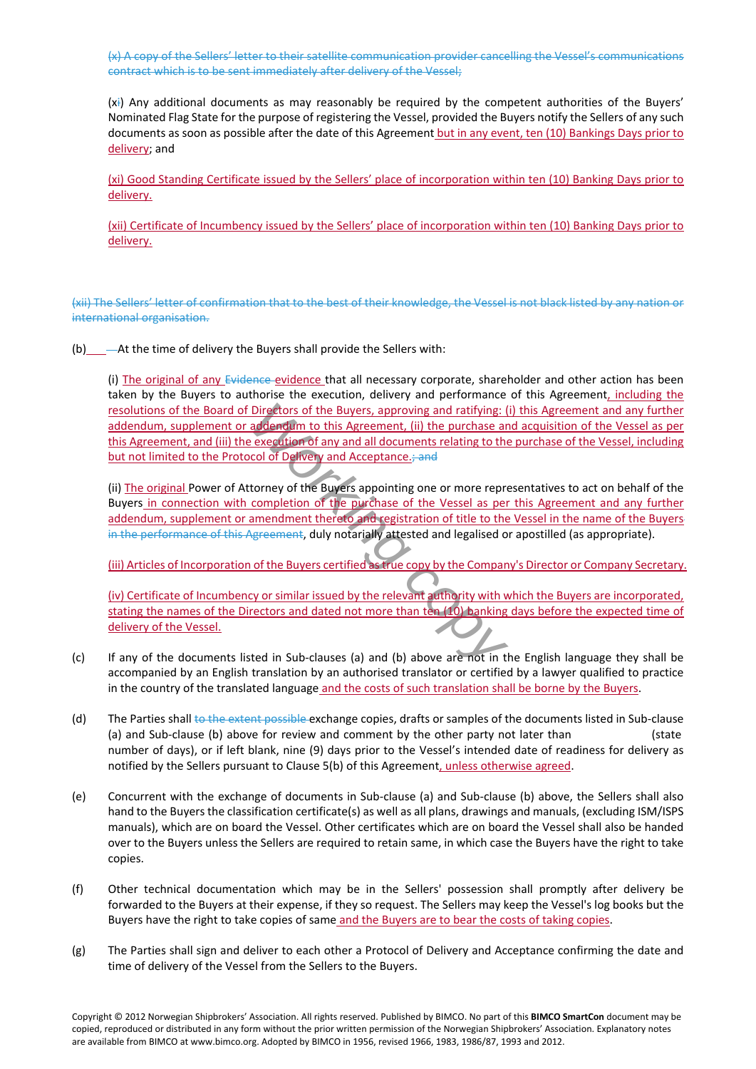(x) A copy of the Sellers' letter to their satellite communication provider cancelling the Vessel's communications contract which is to be sent immediately after delivery of the Vessel;

(xi) Any additional documents as may reasonably be required by the competent authorities of the Buyers' Nominated Flag State for the purpose of registering the Vessel, provided the Buyers notify the Sellers of any such documents as soon as possible after the date of this Agreement but in any event, ten (10) Bankings Days prior to delivery; and

(xi) Good Standing Certificate issued by the Sellers' place of incorporation within ten (10) Banking Days prior to delivery.

(xii) Certificate of Incumbency issued by the Sellers' place of incorporation within ten (10) Banking Days prior to delivery.

(xii) The Sellers' letter of confirmation that to the best of their knowledge, the Vessel is not black listed by any nation or international organisation.

(b)  $-At$  the time of delivery the Buyers shall provide the Sellers with:

(i) The original of any Evidence evidence that all necessary corporate, shareholder and other action has been taken by the Buyers to authorise the execution, delivery and performance of this Agreement, including the resolutions of the Board of Directors of the Buyers, approving and ratifying: (i) this Agreement and any further addendum, supplement or addendum to this Agreement, (ii) the purchase and acquisition of the Vessel as per this Agreement, and (iii) the execution of any and all documents relating to the purchase of the Vessel, including but not limited to the Protocol of Delivery and Acceptance.; and

Directors of the Buyers, approving and ratifying: ( **addendum** to this Agreement, (ii) the purchase and<br>
execution of any and all documents relating to the<br>
col of Delivery and Acceptance.; and<br>
correy of the Buyers appoin (ii) The original Power of Attorney of the Buyers appointing one or more representatives to act on behalf of the Buyers in connection with completion of the purchase of the Vessel as per this Agreement and any further addendum, supplement or amendment thereto and registration of title to the Vessel in the name of the Buyers in the performance of this Agreement, duly notarially attested and legalised or apostilled (as appropriate).

(iii) Articles of Incorporation of the Buyers certified as true copy by the Company's Director or Company Secretary.

(iv) Certificate of Incumbency or similar issued by the relevant authority with which the Buyers are incorporated, stating the names of the Directors and dated not more than ten (10) banking days before the expected time of delivery of the Vessel.

- (c) If any of the documents listed in Sub-clauses (a) and (b) above are not in the English language they shall be accompanied by an English translation by an authorised translator or certified by a lawyer qualified to practice in the country of the translated language and the costs of such translation shall be borne by the Buyers.
- (d) The Parties shall to the extent possible exchange copies, drafts or samples of the documents listed in Sub-clause (a) and Sub-clause (b) above for review and comment by the other party not later than (state number of days), or if left blank, nine (9) days prior to the Vessel's intended date of readiness for delivery as notified by the Sellers pursuant to Clause 5(b) of this Agreement, unless otherwise agreed.
- (e) Concurrent with the exchange of documents in Sub-clause (a) and Sub-clause (b) above, the Sellers shall also hand to the Buyers the classification certificate(s) as well as all plans, drawings and manuals, (excluding ISM/ISPS manuals), which are on board the Vessel. Other certificates which are on board the Vessel shall also be handed over to the Buyers unless the Sellers are required to retain same, in which case the Buyers have the right to take copies.
- (f) Other technical documentation which may be in the Sellers' possession shall promptly after delivery be forwarded to the Buyers at their expense, if they so request. The Sellers may keep the Vessel's log books but the Buyers have the right to take copies of same and the Buyers are to bear the costs of taking copies.
- (g) The Parties shall sign and deliver to each other a Protocol of Delivery and Acceptance confirming the date and time of delivery of the Vessel from the Sellers to the Buyers.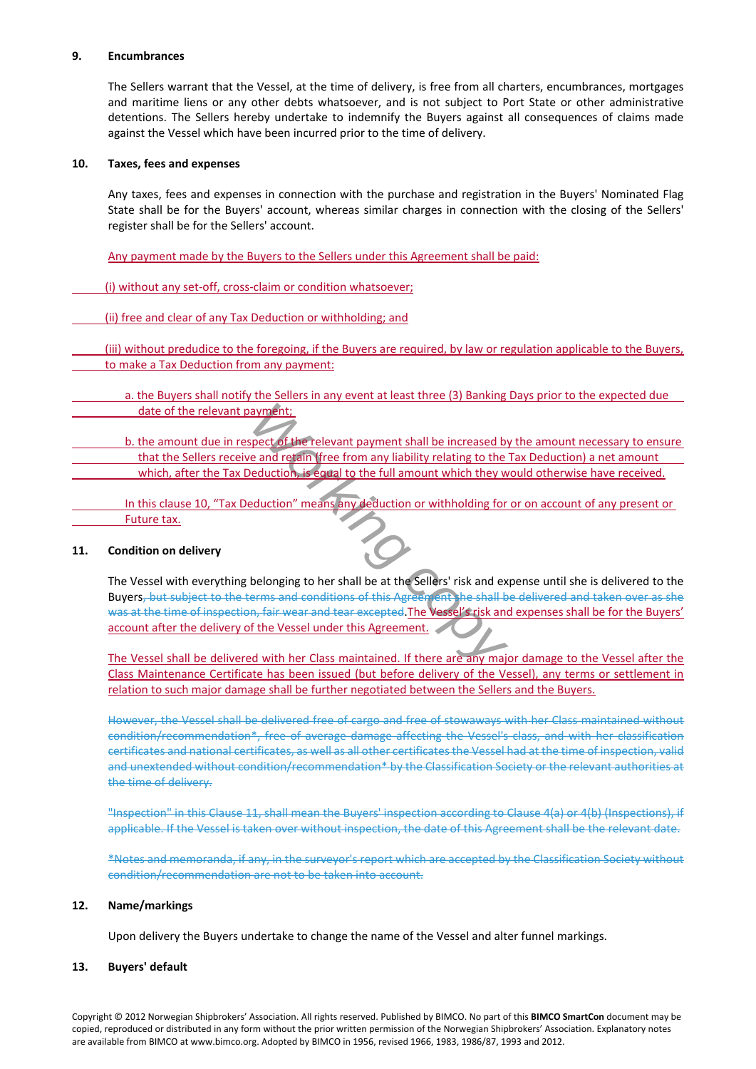#### **9. Encumbrances**

The Sellers warrant that the Vessel, at the time of delivery, is free from all charters, encumbrances, mortgages and maritime liens or any other debts whatsoever, and is not subject to Port State or other administrative detentions. The Sellers hereby undertake to indemnify the Buyers against all consequences of claims made against the Vessel which have been incurred prior to the time of delivery.

#### **10. Taxes, fees and expenses**

Any taxes, fees and expenses in connection with the purchase and registration in the Buyers' Nominated Flag State shall be for the Buyers' account, whereas similar charges in connection with the closing of the Sellers' register shall be for the Sellers' account.

Any payment made by the Buyers to the Sellers under this Agreement shall be paid:

- (i) without any set-off, cross-claim or condition whatsoever;
- (ii) free and clear of any Tax Deduction or withholding; and

 (iii) without predudice to the foregoing, if the Buyers are required, by law or regulation applicable to the Buyers, to make a Tax Deduction from any payment:

- a. the Buyers shall notify the Sellers in any event at least three (3) Banking Days prior to the expected due date of the relevant payment;
- b. the amount due in respect of the relevant payment shall be increased by the amount necessary to ensure that the Sellers receive and retain (free from any liability relating to the Tax Deduction) a net amount which, after the Tax Deduction, is equal to the full amount which they would otherwise have received.

 In this clause 10, "Tax Deduction" means any deduction or withholding for or on account of any present or Future tax.

## **11. Condition on delivery**

**Example 12**<br> **Example 2** and retain (free from any liability relating to the eduction, is equal to the full amount which they we<br>
duction is equal to the full amount which they we<br>
duction is equal to the full amount whic The Vessel with everything belonging to her shall be at the Sellers' risk and expense until she is delivered to the Buyers, but subject to the terms and conditions of this Agreement she shall be delivered and taken over as she was at the time of inspection, fair wear and tear excepted. The Vessel's risk and expenses shall be for the Buvers' account after the delivery of the Vessel under this Agreement.

The Vessel shall be delivered with her Class maintained. If there are any major damage to the Vessel after the Class Maintenance Certificate has been issued (but before delivery of the Vessel), any terms or settlement in relation to such major damage shall be further negotiated between the Sellers and the Buyers.

However, the Vessel shall be delivered free of cargo and free of stowaways with her Class maintained without condition/recommendation\*, free of average damage affecting the Vessel's class, and with her classification certificates and national certificates, as well as all other certificates the Vessel had at the time of inspection, valid and unextended without condition/recommendation\* by the Classification Society or the relevant authorities at the time of delivery.

"Inspection" in this Clause 11, shall mean the Buyers' inspection according to Clause 4(a) or 4(b) (Inspections), if applicable. If the Vessel is taken over without inspection, the date of this Agreement shall be the relevant date.

\*Notes and memoranda, if any, in the surveyor's report which are accepted by the Classification Society without condition/recommendation are not to be taken into account.

#### **12. Name/markings**

Upon delivery the Buyers undertake to change the name of the Vessel and alter funnel markings.

#### **13. Buyers' default**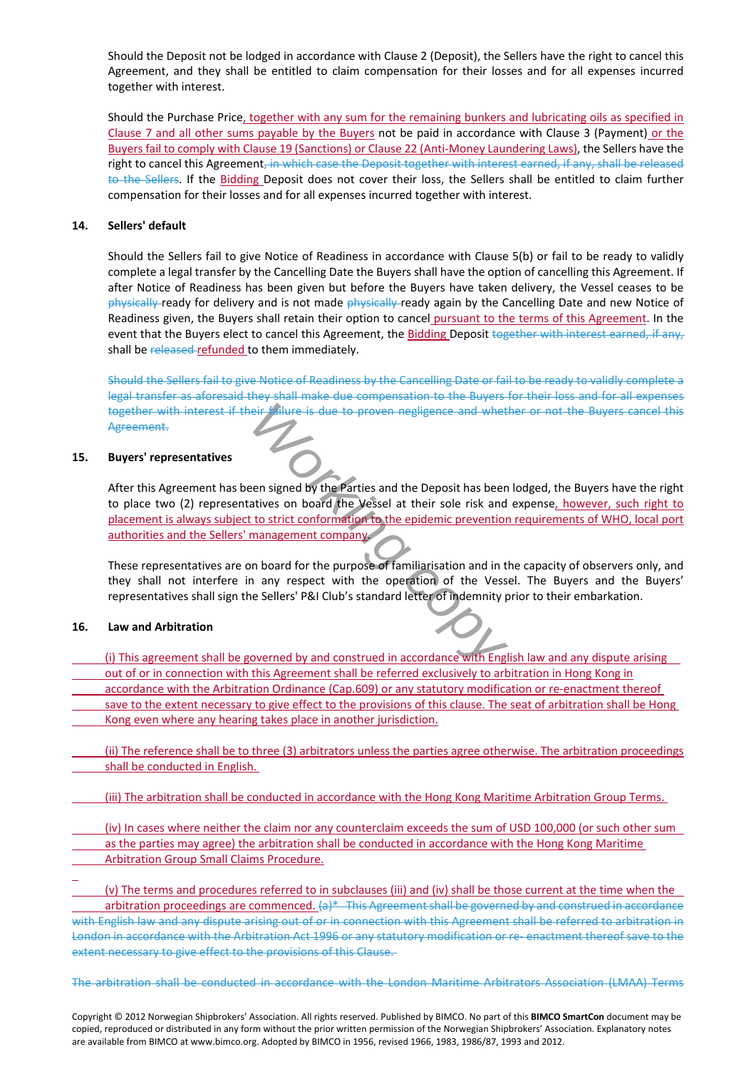Should the Deposit not be lodged in accordance with Clause 2 (Deposit), the Sellers have the right to cancel this Agreement, and they shall be entitled to claim compensation for their losses and for all expenses incurred together with interest.

Should the Purchase Price, together with any sum for the remaining bunkers and lubricating oils as specified in Clause 7 and all other sums payable by the Buyers not be paid in accordance with Clause 3 (Payment) or the Buyers fail to comply with Clause 19 (Sanctions) or Clause 22 (Anti-Money Laundering Laws), the Sellers have the right to cancel this Agreement, in which case the Deposit together with interest earned, if any, shall be released to the Sellers. If the Bidding Deposit does not cover their loss, the Sellers shall be entitled to claim further compensation for their losses and for all expenses incurred together with interest.

## **14. Sellers' default**

Should the Sellers fail to give Notice of Readiness in accordance with Clause 5(b) or fail to be ready to validly complete a legal transfer by the Cancelling Date the Buyers shall have the option of cancelling this Agreement. If after Notice of Readiness has been given but before the Buyers have taken delivery, the Vessel ceases to be physically ready for delivery and is not made physically ready again by the Cancelling Date and new Notice of Readiness given, the Buyers shall retain their option to cancel pursuant to the terms of this Agreement. In the event that the Buyers elect to cancel this Agreement, the Bidding Deposit together with interest earned, if any, shall be released-refunded to them immediately.

Should the Sellers fail to give Notice of Readiness by the Cancelling Date or fail to be ready to validly complete a legal transfer as aforesaid they shall make due compensation to the Buyers for their loss and for all expenses together with interest if their failure is due to proven negligence and whether or not the Buyers cancel this Agreement.

## **15. Buyers' representatives**

**Example 18 and the Union of the Parties and the Deposit has been**<br>**Example 18 and the Parties and the Deposit has been**<br>thives on board the Vessel at their sole risk and<br><u>to strict conformation to the epidemic prevention</u> After this Agreement has been signed by the Parties and the Deposit has been lodged, the Buyers have the right to place two (2) representatives on board the Vessel at their sole risk and expense, however, such right to placement is always subject to strict conformation to the epidemic prevention requirements of WHO, local port authorities and the Sellers' management company.

These representatives are on board for the purpose of familiarisation and in the capacity of observers only, and they shall not interfere in any respect with the operation of the Vessel. The Buyers and the Buyers' representatives shall sign the Sellers' P&I Club's standard letter of indemnity prior to their embarkation.

## **16. Law and Arbitration**

 (i) This agreement shall be governed by and construed in accordance with English law and any dispute arising out of or in connection with this Agreement shall be referred exclusively to arbitration in Hong Kong in accordance with the Arbitration Ordinance (Cap.609) or any statutory modification or re-enactment thereof save to the extent necessary to give effect to the provisions of this clause. The seat of arbitration shall be Hong Kong even where any hearing takes place in another jurisdiction.

 (ii) The reference shall be to three (3) arbitrators unless the parties agree otherwise. The arbitration proceedings shall be conducted in English.

(iii) The arbitration shall be conducted in accordance with the Hong Kong Maritime Arbitration Group Terms.

(iv) In cases where neither the claim nor any counterclaim exceeds the sum of USD 100,000 (or such other sum as the parties may agree) the arbitration shall be conducted in accordance with the Hong Kong Maritime Arbitration Group Small Claims Procedure.

 (v) The terms and procedures referred to in subclauses (iii) and (iv) shall be those current at the time when the arbitration proceedings are commenced. (a)\* This Agreement shall be governed by and construed in accordance with English law and any dispute arising out of or in connection with this Agreement shall be referred to arbitration in London in accordance with the Arbitration Act 1996 or any statutory modification or re- enactment thereof save to the extent necessary to give effect to the provisions of this Clause.

The arbitration shall be conducted in accordance with the London Maritime Arbitrators Association (LMAA) Terms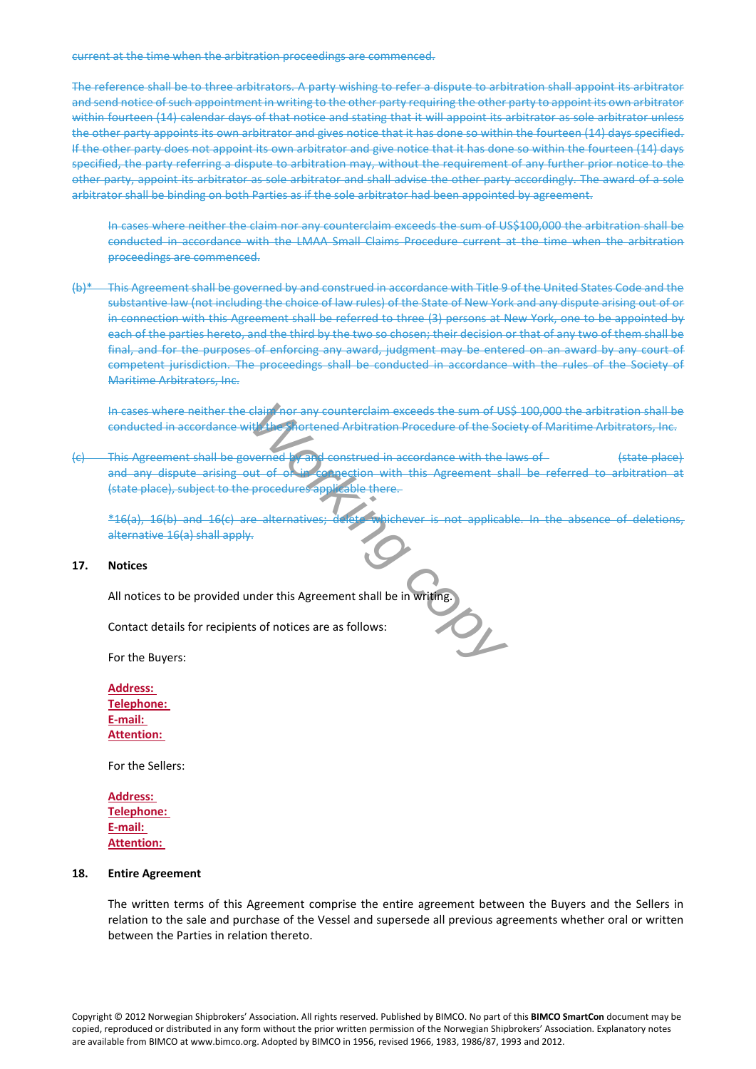current at the time when the arbitration proceedings are commenced.

The reference shall be to three arbitrators. A party wishing to refer a dispute to arbitration shall appoint its arbitrator and send notice of such appointment in writing to the other party requiring the other party to appoint its own arbitrator within fourteen (14) calendar days of that notice and stating that it will appoint its arbitrator as sole arbitrator unless the other party appoints its own arbitrator and gives notice that it has done so within the fourteen (14) days specified. If the other party does not appoint its own arbitrator and give notice that it has done so within the fourteen (14) days specified, the party referring a dispute to arbitration may, without the requirement of any further prior notice to the other party, appoint its arbitrator as sole arbitrator and shall advise the other party accordingly. The award of a sole arbitrator shall be binding on both Parties as if the sole arbitrator had been appointed by agreement.

In cases where neither the claim nor any counterclaim exceeds the sum of US\$100,000 the arbitration shall be conducted in accordance with the LMAA Small Claims Procedure current at the time when the arbitration proceedings are commenced.

(b)\* This Agreement shall be governed by and construed in accordance with Title 9 of the United States Code and the substantive law (not including the choice of law rules) of the State of New York and any dispute arising out of or in connection with this Agreement shall be referred to three (3) persons at New York, one to be appointed by each of the parties hereto, and the third by the two so chosen; their decision or that of any two of them shall be final, and for the purposes of enforcing any award, judgment may be entered on an award by any court of competent jurisdiction. The proceedings shall be conducted in accordance with the rules of the Society of Maritime Arbitrators, Inc.

In cases where neither the claim nor any counterclaim exceeds the sum of US\$ 100,000 the arbitration shall be conducted in accordance with the Shortened Arbitration Procedure of the Society of Maritime Arbitrators, Inc.

**Example 19 and contention exceeds the sum of US**<br> **We contended Arbitration Procedure of the Society of the Society of the Construct in accordance with the H**<br> **We construct in accordance with the H**<br> **We construct in acc** (c) This Agreement shall be governed by and construed in accordance with the laws of (state place) and any dispute arising out of or in connection with this Agreement shall be referred to arbitration at (state place), subject to the procedures applicable there.

\*16(a), 16(b) and 16(c) are alternatives; delete whichever is not applicable. In the absence of deletions, alternative 16(a) shall apply.

#### **17. Notices**

All notices to be provided under this Agreement shall be in writing.

Contact details for recipients of notices are as follows:

For the Buyers:

**Address: Telephone: E-mail: Attention:** 

For the Sellers:

**Address: Telephone: E-mail: Attention:** 

#### **18. Entire Agreement**

The written terms of this Agreement comprise the entire agreement between the Buyers and the Sellers in relation to the sale and purchase of the Vessel and supersede all previous agreements whether oral or written between the Parties in relation thereto.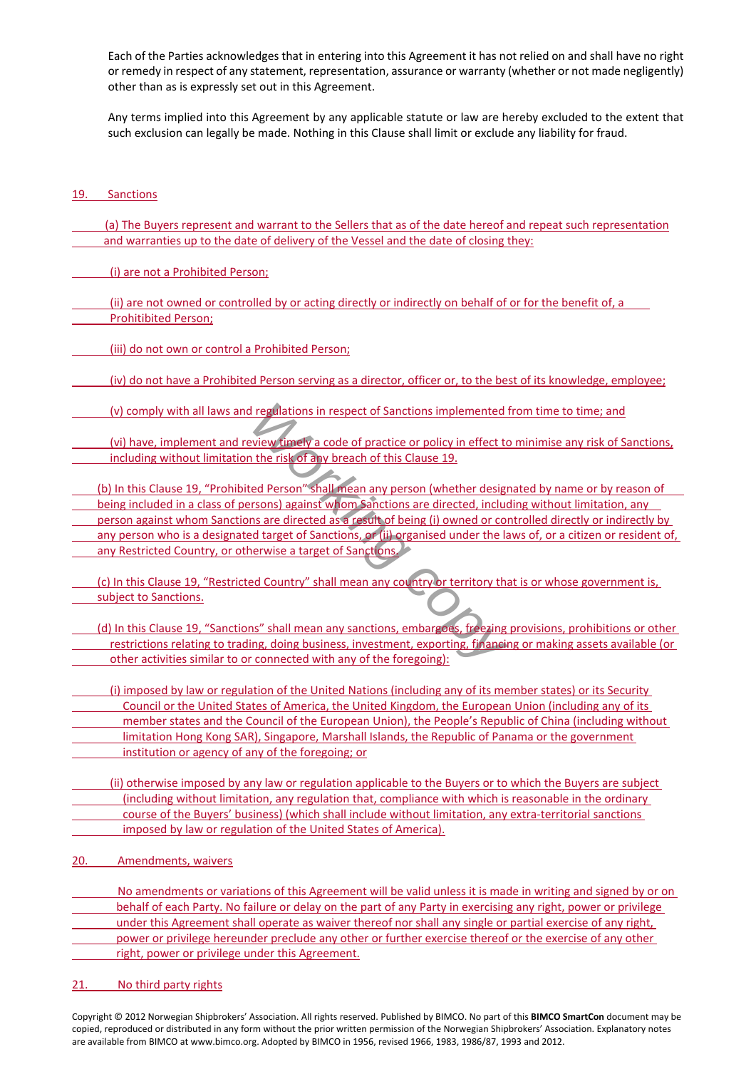Each of the Parties acknowledges that in entering into this Agreement it has not relied on and shall have no right or remedy in respect of any statement, representation, assurance or warranty (whether or not made negligently) other than as is expressly set out in this Agreement.

Any terms implied into this Agreement by any applicable statute or law are hereby excluded to the extent that such exclusion can legally be made. Nothing in this Clause shall limit or exclude any liability for fraud.

## 19. Sanctions

 (a) The Buyers represent and warrant to the Sellers that as of the date hereof and repeat such representation and warranties up to the date of delivery of the Vessel and the date of closing they:

(i) are not a Prohibited Person;

 (ii) are not owned or controlled by or acting directly or indirectly on behalf of or for the benefit of, a Prohitibited Person;

(iii) do not own or control a Prohibited Person;

(iv) do not have a Prohibited Person serving as a director, officer or, to the best of its knowledge, employee;

(v) comply with all laws and regulations in respect of Sanctions implemented from time to time; and

 (vi) have, implement and review timely a code of practice or policy in effect to minimise any risk of Sanctions, including without limitation the risk of any breach of this Clause 19.

**Examplemented Health Contains in respect of Sanctions implemented Health Comparison Singlemented the risk of any breach of this Clause 19.**<br> **Example 20** Person" shall mean any person (whether design respectively) and Per (b) In this Clause 19, "Prohibited Person" shall mean any person (whether designated by name or by reason of being included in a class of persons) against whom Sanctions are directed, including without limitation, any person against whom Sanctions are directed as a result of being (i) owned or controlled directly or indirectly by any person who is a designated target of Sanctions, or (ii) organised under the laws of, or a citizen or resident of, any Restricted Country, or otherwise a target of Sanctions.

 (c) In this Clause 19, "Restricted Country" shall mean any country or territory that is or whose government is, subject to Sanctions.

 (d) In this Clause 19, "Sanctions" shall mean any sanctions, embargoes, freezing provisions, prohibitions or other restrictions relating to trading, doing business, investment, exporting, financing or making assets available (or other activities similar to or connected with any of the foregoing):

 (i) imposed by law or regulation of the United Nations (including any of its member states) or its Security Council or the United States of America, the United Kingdom, the European Union (including any of its member states and the Council of the European Union), the People's Republic of China (including without limitation Hong Kong SAR), Singapore, Marshall Islands, the Republic of Panama or the government institution or agency of any of the foregoing; or

 (ii) otherwise imposed by any law or regulation applicable to the Buyers or to which the Buyers are subject (including without limitation, any regulation that, compliance with which is reasonable in the ordinary course of the Buyers' business) (which shall include without limitation, any extra-territorial sanctions imposed by law or regulation of the United States of America).

20. Amendments, waivers

No amendments or variations of this Agreement will be valid unless it is made in writing and signed by or on behalf of each Party. No failure or delay on the part of any Party in exercising any right, power or privilege under this Agreement shall operate as waiver thereof nor shall any single or partial exercise of any right, power or privilege hereunder preclude any other or further exercise thereof or the exercise of any other right, power or privilege under this Agreement.

## 21. No third party rights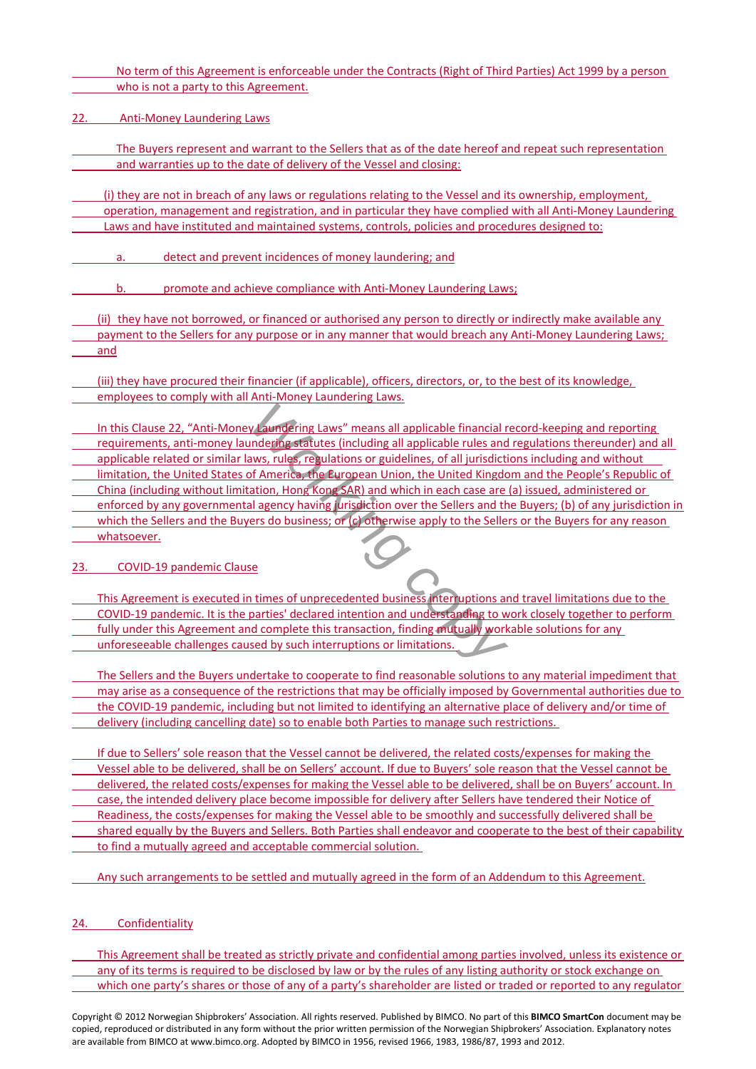No term of this Agreement is enforceable under the Contracts (Right of Third Parties) Act 1999 by a person who is not a party to this Agreement.

# 22. Anti-Money Laundering Laws

 The Buyers represent and warrant to the Sellers that as of the date hereof and repeat such representation and warranties up to the date of delivery of the Vessel and closing:

 (i) they are not in breach of any laws or regulations relating to the Vessel and its ownership, employment, operation, management and registration, and in particular they have complied with all Anti-Money Laundering Laws and have instituted and maintained systems, controls, policies and procedures designed to:

a. detect and prevent incidences of money laundering; and

b. promote and achieve compliance with Anti-Money Laundering Laws;

 (ii) they have not borrowed, or financed or authorised any person to directly or indirectly make available any payment to the Sellers for any purpose or in any manner that would breach any Anti-Money Laundering Laws; and

 (iii) they have procured their financier (if applicable), officers, directors, or, to the best of its knowledge, employees to comply with all Anti-Money Laundering Laws.

**Example Financial relations of the Multimary Statutes (including all applicable financial relations and the Multimedia and the European Union, the United Kingdom Hamerica, the European Union, the United Kingdom Hamerica,** In this Clause 22, "Anti-Money Laundering Laws" means all applicable financial record-keeping and reporting requirements, anti-money laundering statutes (including all applicable rules and regulations thereunder) and all applicable related or similar laws, rules, regulations or guidelines, of all jurisdictions including and without limitation, the United States of America, the European Union, the United Kingdom and the People's Republic of China (including without limitation, Hong Kong SAR) and which in each case are (a) issued, administered or enforced by any governmental agency having jurisdiction over the Sellers and the Buyers; (b) of any jurisdiction in which the Sellers and the Buyers do business; or (c) otherwise apply to the Sellers or the Buyers for any reason whatsoever.

# 23. COVID-19 pandemic Clause

 This Agreement is executed in times of unprecedented business interruptions and travel limitations due to the COVID-19 pandemic. It is the parties' declared intention and understanding to work closely together to perform fully under this Agreement and complete this transaction, finding mutually workable solutions for any unforeseeable challenges caused by such interruptions or limitations.

 The Sellers and the Buyers undertake to cooperate to find reasonable solutions to any material impediment that may arise as a consequence of the restrictions that may be officially imposed by Governmental authorities due to the COVID-19 pandemic, including but not limited to identifying an alternative place of delivery and/or time of delivery (including cancelling date) so to enable both Parties to manage such restrictions.

 If due to Sellers' sole reason that the Vessel cannot be delivered, the related costs/expenses for making the Vessel able to be delivered, shall be on Sellers' account. If due to Buyers' sole reason that the Vessel cannot be delivered, the related costs/expenses for making the Vessel able to be delivered, shall be on Buyers' account. In case, the intended delivery place become impossible for delivery after Sellers have tendered their Notice of Readiness, the costs/expenses for making the Vessel able to be smoothly and successfully delivered shall be shared equally by the Buyers and Sellers. Both Parties shall endeavor and cooperate to the best of their capability to find a mutually agreed and acceptable commercial solution.

Any such arrangements to be settled and mutually agreed in the form of an Addendum to this Agreement.

# 24. Confidentiality

 This Agreement shall be treated as strictly private and confidential among parties involved, unless its existence or any of its terms is required to be disclosed by law or by the rules of any listing authority or stock exchange on which one party's shares or those of any of a party's shareholder are listed or traded or reported to any regulator